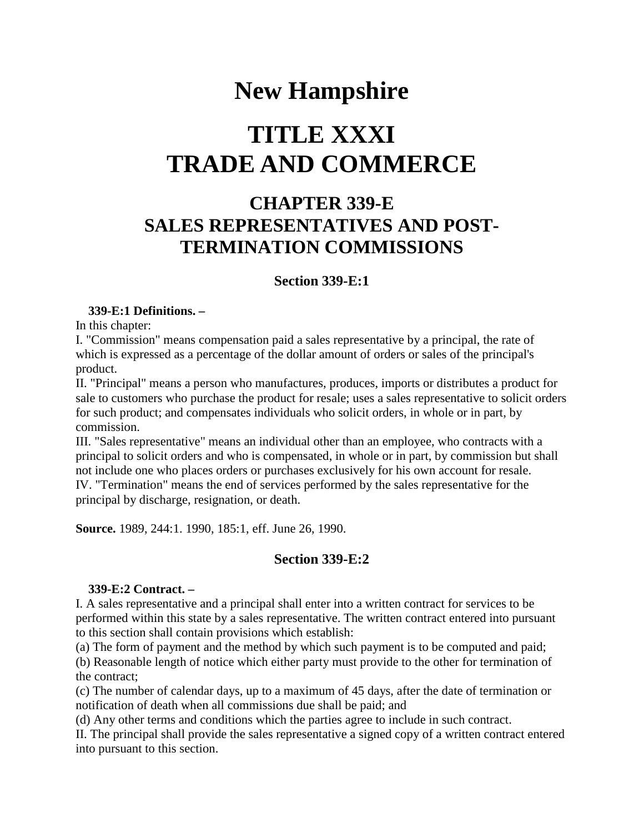## **New Hampshire**

# **TITLE XXXI TRADE AND COMMERCE**

### **CHAPTER 339-E SALES REPRESENTATIVES AND POST-TERMINATION COMMISSIONS**

#### **Section 339-E:1**

#### **339-E:1 Definitions. –**

In this chapter:

I. "Commission" means compensation paid a sales representative by a principal, the rate of which is expressed as a percentage of the dollar amount of orders or sales of the principal's product.

II. "Principal" means a person who manufactures, produces, imports or distributes a product for sale to customers who purchase the product for resale; uses a sales representative to solicit orders for such product; and compensates individuals who solicit orders, in whole or in part, by commission.

III. "Sales representative" means an individual other than an employee, who contracts with a principal to solicit orders and who is compensated, in whole or in part, by commission but shall not include one who places orders or purchases exclusively for his own account for resale. IV. "Termination" means the end of services performed by the sales representative for the principal by discharge, resignation, or death.

**Source.** 1989, 244:1. 1990, 185:1, eff. June 26, 1990.

#### **Section 339-E:2**

#### **339-E:2 Contract. –**

I. A sales representative and a principal shall enter into a written contract for services to be performed within this state by a sales representative. The written contract entered into pursuant to this section shall contain provisions which establish:

(a) The form of payment and the method by which such payment is to be computed and paid;

(b) Reasonable length of notice which either party must provide to the other for termination of the contract;

(c) The number of calendar days, up to a maximum of 45 days, after the date of termination or notification of death when all commissions due shall be paid; and

(d) Any other terms and conditions which the parties agree to include in such contract.

II. The principal shall provide the sales representative a signed copy of a written contract entered into pursuant to this section.